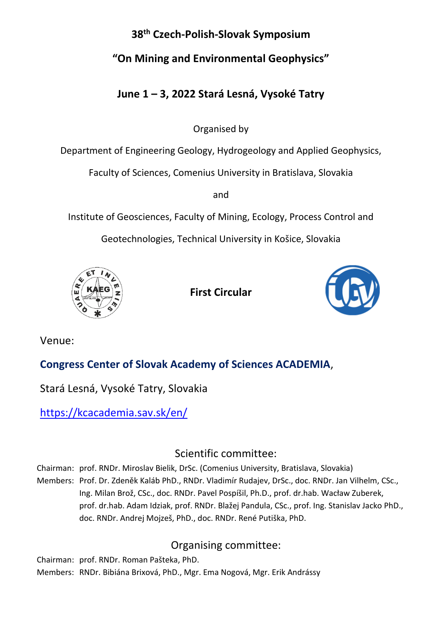## **38 th Czech-Polish-Slovak Symposium**

# **"On Mining and Environmental Geophysics"**

# **June 1 – 3, 2022 Stará Lesná, Vysoké Tatry**

Organised by

Department of Engineering Geology, Hydrogeology and Applied Geophysics,

Faculty of Sciences, Comenius University in Bratislava, Slovakia

and

Institute of Geosciences, Faculty of Mining, Ecology, Process Control and

Geotechnologies, Technical University in Košice, Slovakia



**First Circular**



Venue:

# **Congress Center of Slovak Academy of Sciences ACADEMIA**,

Stará Lesná, Vysoké Tatry, Slovakia

<https://kcacademia.sav.sk/en/>

# Scientific committee:

Chairman: prof. RNDr. Miroslav Bielik, DrSc. (Comenius University, Bratislava, Slovakia)

Members: Prof. Dr. Zdeněk Kaláb PhD., RNDr. Vladimír Rudajev, DrSc., doc. RNDr. Jan Vilhelm, CSc., Ing. Milan Brož, CSc., doc. RNDr. Pavel Pospíšil, Ph.D., prof. dr.hab. Wacław Zuberek, prof. dr.hab. Adam Idziak, prof. RNDr. Blažej Pandula, CSc., prof. Ing. Stanislav Jacko PhD., doc. RNDr. Andrej Mojzeš, PhD., doc. RNDr. René Putiška, PhD.

# Organising committee:

Chairman: prof. RNDr. Roman Pašteka, PhD. Members: RNDr. Bibiána Brixová, PhD., Mgr. Ema Nogová, Mgr. Erik Andrássy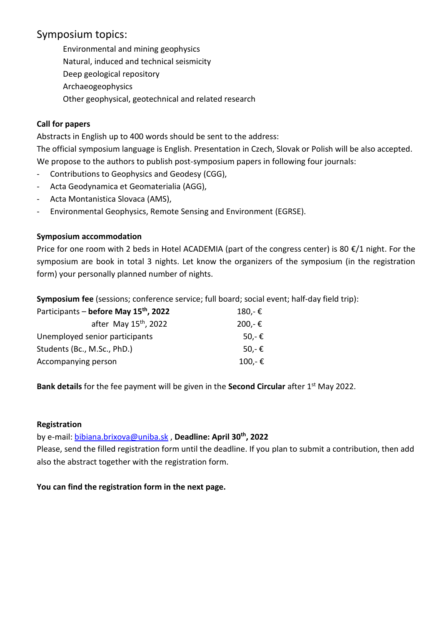### Symposium topics:

Environmental and mining geophysics Natural, induced and technical seismicity Deep geological repository Archaeogeophysics Other geophysical, geotechnical and related research

### **Call for papers**

Abstracts in English up to 400 words should be sent to the address:

The official symposium language is English. Presentation in Czech, Slovak or Polish will be also accepted. We propose to the authors to publish post-symposium papers in following four journals:

- Contributions to Geophysics and Geodesy (CGG),
- Acta Geodynamica et Geomaterialia (AGG),
- Acta Montanistica Slovaca (AMS),
- Environmental Geophysics, Remote Sensing and Environment (EGRSE).

### **Symposium accommodation**

Price for one room with 2 beds in Hotel ACADEMIA (part of the congress center) is 80  $\epsilon/1$  night. For the symposium are book in total 3 nights. Let know the organizers of the symposium (in the registration form) your personally planned number of nights.

**Symposium fee** (sessions; conference service; full board; social event; half-day field trip):

| Participants - before May 15 <sup>th</sup> , 2022 | 180,-€           |  |
|---------------------------------------------------|------------------|--|
| after May 15 <sup>th</sup> , 2022                 | 200,-€           |  |
| Unemployed senior participants                    | 50,- $\epsilon$  |  |
| Students (Bc., M.Sc., PhD.)                       | 50.-€            |  |
| Accompanying person                               | $100 - \epsilon$ |  |

**Bank details** for the fee payment will be given in the **Second Circular** after 1<sup>st</sup> May 2022.

### **Registration**

by e-mail: [bibiana.brixova@uniba.sk](mailto:bibiana.brixova@uniba.sk) , **Deadline: April 30th, 2022**

Please, send the filled registration form until the deadline. If you plan to submit a contribution, then add also the abstract together with the registration form.

**You can find the registration form in the next page.**